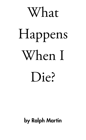

# Happens When I Die?

### by Ralph Martin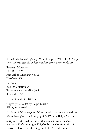*To order additional copies of* What Happens When I Die? *or for more information about Renewal Ministries, write or phone:*

Renewal Ministries P.O. Box 1426 Ann Arbor, Michigan 48106 734-662-1730

In Canada: Box 400, Station U Toronto, Ontario M8Z 5Y8 416-251-4255

www.renewalministries.net

Copyright © 2005 by Ralph Martin All rights reserved.

Portions of *What Happens When I Die?* have been adapted from *The Return of the Lord*, copyright © 1983 by Ralph Martin.

Scripture texts used in this work are taken from the *New American Bible*, copyright © 1970, by the Confraternity of Christian Doctrine, Washington, D.C. All rights reserved.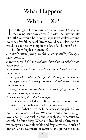## What Happens When I Die?

Two things in life are sure: death and taxes. Or so goes the saying. But how do we *live* with the inevitability of death? We would be in sorry shape if we walked around every day fearful that each breath would be our last. And so we choose not to dwell upon the fate of all human flesh.

But how fragile is human life!

*A recently retired factory worker is unexpectedly felled by a heart attack…*

*A seasoned truck driver is suddenly buried in the rubble of an earthquake…*

*A successful executive in the prime of life is killed in an airplane crash…*

*A young mother suffers a slow, painful death from leukemia. A teenager caught in a drug dispute is stabbed to death by an inner-city gang…*

*A young child is gunned down in a school playground, the innocent victim of a madman…*

*A newborn baby dies of a birth defect.*

The starkness of death often smashes into our consciousness. The finality of it all. The unknown.

Much of what drives the human race is *fear of death.* We don't want to lose our lives. We want enough food, enough love, enough relationships, and enough shelter because we are afraid of not *being.* When our livelihood is threatened, we recognize how vulnerable and fragile we are. Much of our drive to accumulate possessions and power is rooted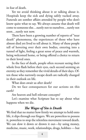in fear of death.

Yet we avoid thinking about it or talking about it. Hospitals keep the sick and dying safely tucked away. Funerals are somber affairs attended by people who don't know quite what to say. We always assume that death will come to someone else…surely not to ourselves…surely not soon…surely not now.

There have been a growing number of reports of "near death" phenomena, the experiences of those who have almost died yet lived to tell about it. Many of these people tell of hovering over their own bodies, entering into a tunnel of light, feeling a great sense of peace and warmth, being welcomed home, or being offered a choice to return to their loved ones.

In the face of death, people often recount seeing their whole lives flash before their eyes, each second seeming an eternity as they remember the vivid details of their days. Often those who narrowly escape death are radically changed in their outlook on life.

What does await us after death?

Do we face consequences for our actions on this earth?

Are heaven and hell relevant concepts?

Let's examine what Scripture has to say about what happens when we die.

#### *The Wages of Sin is Death*

We find that no matter how firmly we attempt to hold onto life, it slips through our fingers. We are powerless to possess it, powerless to stop the relentless movement toward death. We can slow it down or drown it out—by using money, medicine, music, work, relationships, drugs, hobbies — but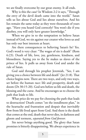we are finally overcome by our great enemy. It all ends.

Why is this the case? In Wisdom 2:2 it says, "Through the envy of the devil death came into the world." Satan tells us lies about God and lies about ourselves. And his lies remain the same today as they were thousands of years ago. "Have you heard God correctly? You won't die if you disobey, you will only have greater knowledge."

When we give in to the temptation to believe Satan instead of God, we sin against our creator who loves us and has only our best interests at heart.

Are there consequences to believing Satan's lie? Yes. God's word is very clear: "The wages of sin is death" (Rom 6:23). Death of life, love, joy, gentleness, kindness, and blessedness. Saying yes to the lie makes us slaves of the prince of lies. It pulls us away from God and under the rule of Satan.

God said through his prophet Jeremiah, "See, I am giving you a choice between life and death" (Jer 21:8). That choice begins now. There are two ways, and only two ways, set before the human race: life and prosperity, death and doom (Dt 30:15-20). God sets before us life and death, the blessing and the curse. And he encourages us to choose the path that leads to life.

What price do we pay for choosing the path that leads to destruction? Death comes "on the installment plan," in the heartache and frustration and despair that inevitably flow from life lived apart from God. And there is the death that comes at the end, death that never dies, in darkness and gloom and torment, *separated from God forever.*

Sin never brings anything good. The glory that Satan promises is bitterly disappointing. We always experience in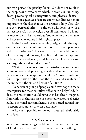our own person the penalty for sin. Sin does not result in the happiness or wholeness which it promises. Sin brings death, psychological disintegration, and physical decay.

The consequences of sin are enormous. But even more important is the fact that we sin against a holy God. Sin is a very personal affront to the one who loves us with a perfect love. God is sovereign over all creation and will not be mocked. And he is a jealous God who for our own sake will not tolerate others in his rightful place.

In the face of the overwhelming weight of sin throughout the ages, what could we ever do to express repentance and make restitution? How to expiate the intolerable burden of blasphemy and idolatry, hostility and murder, rape and violence, theft and greed, infidelity and adultery, envy and jealousy, falsehood and deception?

What to present as appropriate satisfaction for the millennia of wars and pillage, genocide and infanticide, foul perversions and corruption of children? How to make up for the oppression of the poor, the torture and slaughter of the innocent, the sin and horror of all time?

No person or group of people could ever hope to make recompense for these countless affronts to a holy God. Indeed, their restitution could never even have been imagined from within the human race, so enormous was our collective guilt, so personal our complicity, so deep-seated our inability to repent corporately or even personally.

Who could possibly restore our ruptured relationship with God?

#### *A Life Preserver*

What no human beings could do for themselves, the Son of God-made-man did for us. When we had nothing to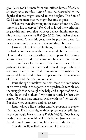give, Jesus took human form and offered himself freely as an acceptable sacrifice. Out of love, he descended to the depths that we might ascend to the heights. The Son of God became man that we might become as gods.

When we were drowning in the ocean of our sin, God threw us a life preserver. "Yes, God so loved the world that he gave his only Son, that whoever believes in him may not die but may have eternal life" (Jn 3:16). God desires that all men be saved. Out of his great love, he provided a way for us to be restored, the curse of sin and death broken.

Jesus led a life of perfect holiness, in utter obedience to the Father, for the sake of those who would be his brethren. He offered a blameless sacrifice as recompense for the millennia of horror and blasphemy, and he made intercession with a pure heart for the sins of the human race. Christ gathered to himself in intensified form all the punishment accruing from the sin of all humankind throughout the ages, and he suffered in his own person the consequences of the Fall and the rebellion of Satan.

Jesus, though himself without sin, faced the imminence of his own death in the agony in the garden. So terrible was the struggle that he sought the help and support of his disciples. Jesus said to them, "My heart is nearly broken with sorrow. Remain here and stay awake with me" (Mt 26:38). But they were exhausted and fell asleep.

Jesus walked a little further and fell prostrate in prayer: "My father, if it is possible, let this cup pass me by. Still, let it be as you would have it, not as I" (Mt 26:39). Once having made this surrender of his will to his Father, Jesus went on to face the cruel torture awaiting him at the hands of men.

Our sin finally nailed the Son of God to a cross.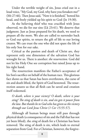Under the terrible weight of sin, Jesus cried out in a loud voice, "My God, my God, why have you forsaken me?" (Mt 27:46). Then Jesus said, "Now it is finished," bowed his head, and freely yielded up his spirit to God (Jn 19:30).

As the believing thief who was crucified with Jesus observed, we die for our sins (Lk 23:41). We deserve that judgment. Just as Jesus prepared for his death, we need to prepare all the more. We also are called to surrender back to God our spirits, to return the gift of life to our loving creator. We can trust the one who did not spare the life of his only Son for our sake.

Critical as the passion and death of Christ are, they represent only one dimension of the salvation God has wrought for us. There is another: *the resurrection.* God did not let his Holy One see corruption but raised Jesus up to his right hand.

The resurrection manifests the Father's acceptance of his Son's sacrifice on behalf of the human race. This glorious fact shows us that Satan has been overthrown, the curse of sin and death lifted, the Spirit of God bestowed. The resurrection assures us that all flesh can be saved and creation itself redeemed.

*O death, where is your victory? O death, where is your sting? The sting of death is sin, and sin gets it power from the law. But thanks be to God who has given us the victory through our Lord Jesus Christ (1 Cor 15:55-57).*

Although all human beings must still pass through physical death (a consequence of sin and the Fall that has not yet been lifted), the *sting* of death for a Christian has been removed. The sting of death is sin, which leads to eternal separation from God. For a Christian, however, the forgive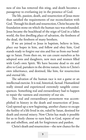ness of sins has removed this sting, and death becomes a passageway to everlasting joy in the presence of God.

The life, passion, death, and resurrection of Jesus more than satisfied the requirements of our reconciliation with God. Through his death and resurrection, Christ became the foundation stone on which the human race was refounded. Jesus became the beachhead of the reign of God in a fallen world, the first dwelling place of salvation, the firstborn of the dead, the firstborn of many brothers.

If we are joined to Jesus in baptism, believe in him, place our hopes in him, and follow and obey him, God stands ready to forgive our sins and free us from our bondage to Satan. From then on, we can count ourselves as his adopted sons and daughters, new men and women filled with God's own Spirit. We have become dead to sin and alive to God, partakers in the divine nature, heirs to Christ's own inheritance, and destined, like him, for resurrection and eternal life.

The salvation of the human race is not a game or an intellectual exercise. It is real, historical, factual. Humankind really sinned and experienced extremely tangible consequences. Something real and extraordinary had to happen to repair the vastness and enormity of our sin.

This real and extraordinary atonement was accomplished in history in the death and resurrection of Jesus. God opened up a new beginning, another chance to escape the futility of a life lived in sin, ruled by Satan, destined for death and eternal misery. Now Christ has made it possible for us to freely choose to turn back to God, repent of our sin and rebellion, and ask for forgiveness and pardon.

Christ's death and resurrection—the new chance for the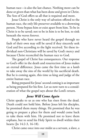human race—is also the last chance. Nothing more can be done or given than what has been done and given in Christ. The Son of God offers us all that is required and more.

Jesus Christ is the only way of salvation offered to the human race, the only life preserver available to a drowning person. None bypass him or exist apart from him. To be in Christ is to be saved; not to be in him is to be lost, to sink beneath the waves forever.

People who have never heard the gospel through no fault of their own may still be saved if they sincerely seek God and live according to the light received. Yet these individual non-Christians will be saved by God's mercy and because Christ reconciled the human race to God.

The gospel of Christ has consequences. Our response to God's offer in the death and resurrection of Jesus makes an eternal difference. Jesus came the first time as a lamb to take away the sins of the world by his sacrificial death. But he is coming again, this time as king and judge of the entire human race.

Being prepared for Jesus' second coming is as important as being prepared for his first. Let us now turn to a consideration of what the gospel says about the Lord's return.

#### *Jesus Will Come Again*

Christ speaks to us as one who has risen from the dead. Death could not hold him. Before Jesus left his disciples, he promised them many things. He promised that he was going to prepare a place for them and would come back to take them with him. He promised not to leave them orphans, but to send his Holy Spirit to dwell within their hearts (Jn 14:2-3, 16-18).

Christ came once into our midst as a servant, a slave, a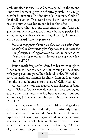lamb sacrificed for us. He *will* come again. But the second time he will come in glory to definitively establish his reign over the human race. The first time, Jesus came as God's offer of full salvation. The second time, he will come to judge how the human race has responded to that offer.

To those who have put their trust in him, Jesus will give the fullness of salvation. Those who have persisted in wrongdoing, who have rejected him, his word, his servants, will be banished from his presence.

*Just as it is appointed that men die once, and after death be judged, so Christ was offered up once to take away the sins of many; he will appear a second time not to take away sin but to bring salvation to those who eagerly await him (Heb 9:27-28).*

Jesus himself frequently referred to his return in glory. "Then men will see the Son of Man coming in the clouds with great power and glory," he told his disciples. "He will dispatch his angels and assemble his chosen from the four winds, from the farthest bounds of earth and sky" (Mk 13:26-27).

At Jesus' ascension, angels assured the disciples of Jesus' return: "Men of Galilee, why do you stand here looking up at the skies? This Jesus who has been taken up from you will return, just as you saw him go up into the heavens" (Acts 1:11).

This firm, clear belief in Jesus' visible and glorious return in power, as king and judge, is consistently taught and proclaimed throughout the New Testament. Living in expectancy of Christ's coming —indeed, longing for it!—is an essential element of Christian life itself. "From now on a merited crown awaits me," Paul tells Timothy. "On that Day, the Lord, just judge that he is, will award it to me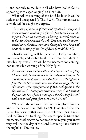—and not only to me, but to all who have looked for his appearing with eager longing" (2 Tim 4:8).

What will the coming of the Lord be like? It will be sudden and unexpected (1 Thes 5:2-3). The human race as a whole will be caught by surprise.

*The coming of the Son of Man will repeat what happened in Noah's time. In the days before the flood people were eating and drinking, marrying and being married, right up to the day Noah entered the ark. They were totally unconcerned until the flood came and destroyed them. So it will be at the coming of the Son of Man (Mk 24:37-39).*

Christ's coming will be personal, clearly manifest, unmistakable, and visible to all. It will not be hidden or invisibly "spiritual." This will be the incarnate Son coming, not an invisible working of the Holy Spirit.

*Remember, I have told you all about it beforehand; so if they tell you, "look, he is in the desert," do not go out there; or "he is in the innermost rooms," do not believe it. As the lightning from the east flashes to the west, so will the coming of the Son of Man be…The sign of the Son of Man will appear in the sky, and all the clans of the earth will strike their breasts as they see "the Son of Man coming on the clouds of heaven" with power and great glory (Mt 24:25-27, 30).*

When will the return of the Lord take place? No one knows the day or hour (Mk 13:32). Jesus stated that the Father had reserved that knowledge to himself (Acts 1:6-7). Paul reaffirms this teaching: "As regards specific times and moments, brothers, we do not need to write you; you know very well that the day of the Lord is coming like a thief in the night" (1 Thes 5:1-2).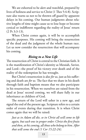We are exhorted to be alert and watchful, prepared by lives of holiness and service to Christ (1 Thes 5:4-8). Scripture also warns us not to be thrown off guard by apparent delays in his coming. Our human judgments about relative lengths of time might cause us to lose hope or become cynical or indifferent regarding the reality of Jesus' return (2 Pt 3:3-13).

When Christ comes again, it will be to accomplish specific purposes. His coming will bring the resurrection of the dead and the judgment of the whole human race. Let us now consider the resurrection that will accompany his coming.

#### *Rising to a New Life*

The resurrection of Christ is central to the Christian faith. It is the manifestation of Christ's identity as Messiah, Savior, and Lord—the proof of his victory over death and of the reality of the redemption he has wrought.

But Christ's resurrection is also *for us*, just as his suffering and death are *for us.* The fact that we share in his death through faith and baptism means that we also participate in his resurrection. When we ourselves are raised from the dead at Jesus' second coming, we will share fully in our inheritance as children of God.

The return of the Lord will usher in a new age, and signal the end of the present age. Scripture refers to a certain order of events during that transition. It is when Christ comes again that we will be raised:

*Just as in Adam all die, so in Christ all will come to life again, but each one in proper order: Christ the first fruits and then, at his coming, all those who belong to him. After that will come the end (1 Cor 15:22-24).*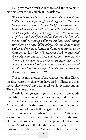Paul gives more details about these end-times events in his first letter to the church at Thessalonica:

*We would have you be clear about those who sleep in death, brother; otherwise you might yield to grief like those who have no hope. For if we believe that Jesuss died and rose, God will bring forth with him from the dead those also who have fallen asleep believing in him. We say to you, as if the Lord himself had said it, that we who live, who survive until his coming, will in no way have an advantage over those who have fallen asleep. No, the Lord himself will come down from heaven at the word of command, at the sound of the archangel's voice and God's trumpet; and those who have died in Christ will rise first. Then we, the living, the survivors, will be caught up with them in the clouds to meet the Lord in the air. Thenceforth we shall be with the Lord unceasingly. Console one another with this message (1 Thes 4:13-17).*

This is the initial order of the resurrection; first Christ, the first fruits; then those who have died in Christ and then those followers of Christ who are alive at his second coming. Then will come the end.

Death is the greatest sign of man's fall from God's friendship—the most visible, overarching indicator that something has gone profoundly wrong with the human race. At its root, death is the curse that came upon the human race as a result of our rebellion against God.

Scripture refers to death as "the last enemy," the manifestation of man's fallenness most closely tied to the work of Satan and last curse to yield to the power of redemption (1 Cor 15:26). We still suffer the pangs of death in the first stages of redemption, when Satan will only be chained. But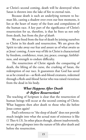at Christ's second coming, death will be destroyed when Satan is thrown into the lake of fire to eternal ruin.

Because death is such an underlying torment to human life, casting a shadow over even our best moments, it lies at the heart of many of the fears and compulsions of the human race. A key part of the significance of Christ's resurrection for us, therefore, is that he frees us not only from death, but from the *fear of death.*

We are freed from the fear of death by joining ourselves to Christ in his death and resurrection. We are given the Spirit to take away our fear and assure us of what awaits us at Jesus' coming. A new way of life in Christ is characterized by freedom, confidence, trust, joy, peace, courage, faithfulness, and strength to endure difficulty.

The resurrection of Christ signals the conquering of death, the lifting of the curse, the crushing of Satan, the redemption of our race. It guarantees that God has saved us as he created us—as flesh-and-blood creatures, redeemed through a flesh-and-blood Savior who was raised victorious from the dead in his body.

#### *What Happens After Death & Before Resurrection?*

The teaching of Scripture is clear that the resurrection of human beings will occur at the second coming of Christ. What happens then after death to those who die before Jesus comes again?

Paul's reference to "the sleep of death" does not provide much insight into what the actual state of existence is like (1 Thes 4:13). In other places though, almost inadvertently, we are given glimpses into the nature of life after death and before the resurrection.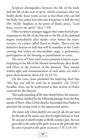Scripture distinguishes between the life of the body and the life of the soul or spirit, which continues after our bodily death. Jesus warns us not to fear those who can kill the body, but rather him who also has power to kill the soul (Mt 10:28). Stephen, at the point of death, prays, "Lord Jesus, receive my spirit" (Acts 7:59).

Other scripture passages suggest that some kind of participation in the life of the blessed or the life of the damned begins immediately after death—even before the resurrection—in a place called Sheol or Hades. This is not the definitive heaven or hell that will be manifest at the Lord's coming, but rather an intermediate stage, a preliminary participation in the blessing or punishment to come.

The story of Dives and Lazarus presents Lazarus as participating in the life of the blessed immediately after death, and Dives in the torment of the damned. They remain within sight and communication of each other, yet with a great abyss between them (Lk 16:19-31).

On the cross, Jesus promised the believing thief that "this day, you will be with me in paradise" (Lk 23:42). Paradise, then, can be understood as that section of Hades reserved for the blessed.

This understanding of life after death before the resurrection is further clarified by the following passage from the first epistle of Peter. After Christ died he descended into Hades to proclaim his saving work to the imprisoned spirits:

*The reason why Christ died for sins once for all, the just man for the sake of the unjust, was that he might lead you to God. He was put to death insofar as fleshly existence goes, but was given life in the realm of the spirit. It was in the spirit also that he went to preach to the spirits in prison (1 Pt 3:18-19).*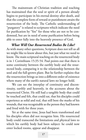The mainstream of Christian tradition and teaching has maintained that the soul or spirit of a person already begins to participate in his eternal destiny after death, and that the complete form of reward or punishment awaits the resurrection of the body. The Catholic understanding of "purgatory" is related to scriptures which indicate the need for purification by "fire" for those who are not to be condemned, but are in need of some purification before being able to enter fully into the heavenly presence of God.

#### *What Will Our Resurrected Bodies Be Like?*

As with many other questions, Scripture does not tell us all we might like to know about this, but just what we need to know. The main scriptural teaching on the resurrected body is in 1 Corinthians 15:35-54. Paul points out that there is some continuity between the earthly body and the resurrected body, comparing it to the relationship between the seed and the full-grown plant. But he further explains that the resurrection brings us into a different order of existence where many of the earth's natural laws no longer hold.

We can see the interplay of continuity and discontinuity, earthly and heavenly, in the accounts about the resurrected Christ. He still had a tangible body that could be touched and felt, that could eat, that his disciples could experience as solid and real, that still bore the marks of his wounds, that was recognizable as the person they had known and lived with for three years.

Yet at the same time, Jesus had been transformed and his disciples often did not recognize him. His resurrected body could transcend the limitations and physical laws to which his earthly body had been subject: he could now enter locked rooms, appear and disappear.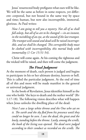Jesus' resurrected body prefigures what ours will be like. We will be the same as before in some respects, yet different: corporeal, but not bound in the same way by space and time; human, but now also incorruptible, immortal, glorious. As Paul writes:

*Now I am going to tell you a mystery. Not all of us shall fall asleep, but all of us are to be changed —in an instant, in the twinkling of an eye, at the sound of the last trumpet. The trumpet will sound and dead will be raised incorruptible, and we shall be changed. This corruptible body must be clothed with incorruptibility, this mortal body with immortality (1 Cor 15:51-54).*

Christ will come again. At his coming the righteous and the wicked will be raised, and then will come the judgment.

#### *The Final Judgment*

At the moment of death, each person is judged and begins to participate in his or her ultimate destiny, heaven or hell. This is called the particular judgment. At the end of time all of this and more will be made manifest in the general or universal judgment.

In the book of Revelation, Jesus identifies himself as the one who holds "the keys to death and the nether world" (Rv 1:17-18). The following vision describes what will happen when Jesus unlocks the dwelling place of the dead:

*Next I saw a large white throne and the One who sat on it. The earth and the sky fled from his presence until they could no longer be seen. I saw the dead, the great and the lowly, standing before the throne. Lastly, among the scrolls, the book of the living was opened. The dead were judged according to their conduct as recorded on the scrolls. The*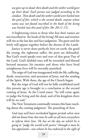*sea gave up its dead; then death and the nether world gave up their dead. Each person was judged according to his conduct. Then death and the nether world were hurled into the pool of fire, which is the second death; anyone whose name was not found inscribed in the book of the living was hurled into this pool of fire (Rv 20:11-15).*

A frightening vision to those who fear their names are not inscribed in the book of the living! All men and women will rise at the last day and face judgment. The great and the lowly will appear together before the throne of the Lamb.

Justice is never done perfectly here on earth: the good die young; the righteous suffer; the poor are defrauded. But God's word speaks over and over of that great Day of the Lord. God's faithful ones will be rewarded and blessed beyond measure; his enemies and those who have lived unrighteous lives will be eternally punished.

The reign of God was inaugurated with the life, suffering, death, resurrection, and ascension of Jesus, and the sending of the Spirit. With these, the age of the Church began.

But the reign of God will not be fully established until this present age is brought to a conclusion at the second coming of Jesus. As the Creed states: "he will come again to judge the living and the dead, and of his kingdom there will be no end."

The New Testament continually restates this basic teaching about the coming judgment. The preaching of Acts:

*God may well have overlooked bygone periods when men did not know him; but now he calls on all men everywhere to reform their lives. He has set the day on which he is going to "judge the world with justice" through a man he has appointed—one whom he has endorsed in the sight of*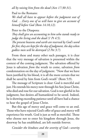*all by raising him from the dead (Acts 17:30-31).*

Paul to the Romans:

*We shall all have to appear before the judgment seat of God. …Every one of us will have to give an account of himself before God (Rom 14:10,12).*

Peter to the Diaspora:

*They shall give an accounting to him who stands ready to judge the living and the dead (1 Pt 4:5).* 

*The present heavens and earth are reserved by God's word for fire; they are kept for the day of judgment, the day when godless men will be destroyed (2 Pet 3:7).*

From these and many other such passages, it is clear that the very message of salvation is presented within the context of the coming judgment. The salvation offered by Jesus is salvation *from* the wrath to come, salvation *from*  condemnation on the day of judgment. "Now that we have been justified by his blood, it is all the more certain that we shall be saved by him from God's wrath" (Rom 5:9).

The message of Scripture is clear: God is merciful and just. He extends his mercy now through his Son Jesus Christ, who died and rose for our salvation. God is not gleeful in his judgment, but desires *all* humankind to be saved. Indeed, he is showing exceeding patience until all have had a chance to hear the gospel of Jesus Christ.

But this age of mercy and grace will come to an end. Those who have rejected God's offer of grace and mercy will experience his wrath. God is just as well as merciful. Those who choose not to enter his kingdom through Jesus, the doorway he has established, are left outside forever.

*Consider the kindness and the severity of God—severity*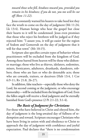*toward those who fell, kindness toward you, provided you remain in his kindness; if you do not, you too will be cut off (Rom 11:22).*

Jesus constantly warned his hearers to take heed lest they face the wrath to come on the day of judgment (Mt 11:24; Lk 13:4). Human beings who hear the gospel but close their hearts to it will be condemned. Jesus even promises that those who reject his brethren will be judged as if they rejected him: "I assure you, it will go easier for the region of Sodom and Gomorrah on the day of judgment that it will for that town" (Mt 10:15).

Scripture also specifies certain types of behavior whose practitioners will be excluded from the kingdom of God. Among those barred from heaven will be those who dishonor marriage; those who live as thieves, idolaters, sodomites, misers, fornicators, adulterers, drunkards, slanderers, robbers; those who are liars or who do detestable acts; those who are cowards, traitors, or deceivers (Heb 13:4, 1 Cor 6:9-11; Rv 21:8, 26-27).

In addition, false teachers—especially those who deny the Lord, his second coming or the judgment, or who encourage immorality—will be excluded from the kingdom of God. Even the fallen angels will receive a final judgment and be eternally banished from God's presence (2 Pt 2:1-22; 3:1-4).

#### *The Basis of Judgment for Christians*

For those who have believed in Christ and obeyed him, the day of judgment is the long-awaited day of fullness of redemption and reward. Scripture encourages Christians who have been living in union with and obedience to Christ to approach the day of judgment with confidence and joyful expectation. Paul declares that "there is no condemnation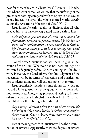now for those who are in Christ Jesus" (Rom 8:1). He adds that when Christ comes, we will see that the sufferings of the present are nothing compared with the glory to be revealed in us. Indeed, he says, "the whole created world eagerly awaits the revelation of the sons of God" (V. 19).

Jesus himself clearly taught his disciples that all who heeded his voice have *already* passed from death to life:

*I solemnly assure you, the man who hears my word and has faith in him who sent me possesses eternal life. He does not come under condemnation, but has passed from death to life. I solemnly assure you, an hour is coming, has indeed come, when the dead shall hear the voice of the Son of God, and those who have heeded it shall live (Jn 5:24-25).*

Nonetheless, Christians too will have to give an account of their lives. Whatever has not been set right or corrected adequately before Christ's coming will be dealt with. However, the Lord affirms that his judgment of the redeemed will be in terms of correction and purification, not condemnation, and will end ultimately in reward.

Jesus specifically mentions some things for which no reward will be given, such as religious activities done with impure motives. Almsgiving, prayer, and fasting to impress others are particularly singled out (Mt 6:1-18). What has been hidden will be brought into the light:

*Stop passing judgment before the time of his return. He will bring to light what is hidden in darkness and manifest the intentions of hearts. At that time, everyone will receive his praise from God (1 Cor 4:5).*

Part of the judgment for Christians will be the determination of rewards. Apparently, there are degrees of reward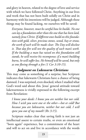and glory in heaven, related to the degree of love and service with which we have followed Christ. Anything in our lives and work that has not been built solidly on Christ and in harmony with his intentions will be judged. Although these things may be found lacking, we ourselves will be saved:

*Everyone, however, must be careful how he builds. No one can lay a foundation other than the one that has been laid, namely Jesus Christ. If different ones build on this foundation with gold, silver, precious stones, wood, hay or straw, the work of each will be made clear. The Day will disclose it. That day fire will test the quality of each man's work. If the building a man has raised on this foundation still stands, he will receive his recompense; if a man's building burns, he will suffer loss. He himself will be saved, but only as one fleeing through a fire (1 Cor 3:10-15).*

#### *Judgment on Lukewarm Christians*

This may come as something of a surprise, but Scripture indicates that lukewarm Christians have a chance of being damned. I was surprised, even shocked, when I studied what God's word said about this. Jesus' general attitude toward lukewarmness is vividly expressed in the following excerpt from Revelation:

*I know your deeds: I know you are neither hot nor cold. How I wish you were one or the other—hot or cold! But because you are lukewarm, neither hot nor cold, I will spew you out of my mouth! (Rv 3:15).*

Scripture makes clear that saving faith is not just an intellectual assent to certain truths, or even an emotional "born again" experience, but a commitment of the heart and will to act on and live in accordance with the words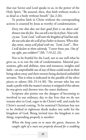that our Savior and Lord speaks to us, in the power of the Holy Spirit. "Be assured, then, that faith without works is as dead as a body without breath" (Jas 2:26).

To profess faith in Christ without the corresponding actions is counted by Jesus as worthy of condemnation:

*Every tree that does not bear good fruit is cut down and thrown into the fire. You can tell a tree by its fruit. None who cry out, "Lord, Lord," will enter the kingdom of God but only the one who does the will of my Father in heaven. When that day comes, many will plead with me, "Lord, Lord"...Then I will declare to them solemnly, "I never knew you. Out of my sight, you evildoers!" (Mt. 7:19-22, 23).*

Not to be fruitful for the Lord, not to use well what he gives us, is to run the risk of condemnation. Material possessions, gifts and abilities, time and resources, insights and faith—an unprofitable use of any of these could result in their being taken away and their owners being declared unfaithful servants. This is what is indicated in the parable of the silver pieces or talents (Mt 25:14-30). The servant who has not made a profit with the master's money is stripped of the talents he was given and thrown into the outer darkness.

Scripture also points out the dangers of becoming so involved in our ordinary, day to day lives that we do not remain alert to God, eager to do Christ's will, and ready for Christ's second coming. To be nominal Christians but not to be clothed in righteous deeds makes one unfit for the kingdom of God. Being invited into the kingdom is one thing; responding properly is another:

*When the king came in to meet the guests, however, he caught sight of a man not properly dressed for a wedding*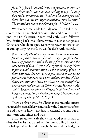*feast. "My friend," he said, "how is it you came in here not properly dressed?" The man had nothing to say. The king then said to the attendants, "Bind him hand and foot and throw him out into the night to wail and grind his teeth." The invited are many, the elect are few (Mt 22:11-14).*

We also become liable for judgment if we fail to persevere in faith and obedience until the end of our lives or until the Lord's return. Short-lived enthusiasm followed by a drifting back into lukewarmness is just as dangerous. Christians who do not persevere, who return to serious sin or end up denying the faith, will be dealt with severely.

*If we sin willfully after receiving the truth, there remains for us no further sacrifice for sin— only a fearful expectation of judgment and a flaming fire to consume the adversaries of God. Anyone who rejects the law of Moses is put to death without mercy on the testimony of two or three witnesses. Do you not suppose that a much worse punishment is due the man who disdains the Son of God, thinks the covenant-blood by which he was sanctified to be ordinary, and insults the Spirit of grace? We know who said, "Vengeance is mine; I will repay" and "The Lord will judge his people." It is a fearful thing to fall into the hands of the living God (Heb 10:26-31).*

There is only one way for Christians to meet the criteria required for eternal life: we must allow the Lord to transform us and make us holy—not just in external actions, but in our hearts and minds and wills.

Scripture quite clearly shows that God expects man to obey the law he has placed within him, availing himself of the help provided in and through his Son and his body, the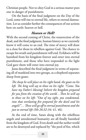Christian people. Not to obey God in a serious matter puts one in danger of punishment.

On the basis of the final judgment on the Day of the Lord, some will rise to eternal life, others to eternal damnation. Let us consider further the consequences of our actions here on earth: heaven or hell.

#### *Heaven or Hell?*

With the second coming of Christ, the resurrection of the dead, and the final judgment, human history as we currently know it will come to an end. The time of mercy will draw to a close for those in rebellion against God. The chance to escape his wrath and punishment will end. Evildoers will be banished from his kingdom forever and enter into eternal punishment, and those who have responded to the light God gave them will enter into eternal joy.

Jesus described the final judgment in terms of separating all of mankind into two groups, as a shepherd separates sheep from goats:

*The sheep he will place on his right hand, the goats on his left. The king will say to those on his right: "Come. You have my Father's blessing! Inherit the kingdom prepared for you from the creation of the world…Then he will say to those on his left: "Out of my sight, you condemned, into that everlasting fire prepared for the devil and his angels!"… These will go off to eternal punishment and the just to eternal life (Mt 26:32-34; 41, 46).*

At the end of time, Satan along with the rebellious angels and unredeemed humanity are all finally banished from the kingdom of God. Even death and the nether world are to be destroyed and replaced by "the pool of fire, which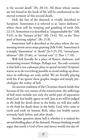is the second death" (Rv 20:14). All those whose names are not found in the book of life will be condemned to the eternal torment of this second death.

Hell, the fate of the damned, is vividly described in Scripture. Sometimes it is referred to as "outer darkness," where there will be weeping and gnashing of teeth (Mt 22:13). Sometimes it is described as "unquenchable fire" (Mk 9:43), or the "furnace of fire" (Mt 13:42, 50), or the "fiery pool of burning sulphur" (Rv 21:8).

Sometimes hell is described as the place where the tormenting worm never stops gnawing (Mk 9:48). Sometimes it is simply "damnation" or "death" (Jn 5:25, 29), "eternal punishment" (Mt 25:46), or "eternal ruin" (2 Thes 1:7-10).

Will hell literally be a place of flames, darkness, and tormenting worms? Perhaps. Perhaps not. The only certainty is that hell is not a pleasant place to spend eternity! Scripture warns us to do everything possible to avoid ending up there, since its sufferings are truly awful. We are literally playing with fire if we ignore these graphic images and simply psychologize the reality of hell.

An ancient tradition of the Christian church holds that because of the very nature of the resurrection, the sufferings of hell must include not only the awful pain of separation from God, but bodily agony as well. Just as we will be judged *in the body* for deeds done in the body, we will also suffer *in the body* for deeds done in the body. God, who came to earth and took on human flesh, takes our bodily nature seriously both before and after death.

Another question about hell is whether it is indeed the *eternal* dwelling place of the damned. Human thinking would argue that surely a God of love and mercy would one day of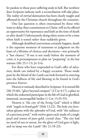fer pardon to those poor suffering souls in hell. But nowhere does Scripture indicate such a reconciliation will take place. The reality of *eternal* damnation has been clearly taught and affirmed by the Christian church throughout the centuries.

One last question is often entertained by those who want to delay their commitment to Christ: will we be offered an opportunity for repentance and faith at the time of death or after death? Unfortunately dying often seems to be a time when faith is tested rather than suddenly given.

Although deathbed conversions certainly happen, death is the supreme moment of summons to judgment on the basis of a lifetime of choices and decisions—not primarily a "last chance." If one is not ready before the moment of crisis, it is presumptuous to plan on "preparing" at the last minute (Mt 25:1-13; Jn 9:4).

For those who have responded to God's offer of salvation, death can indeed by a happy occasion. Those made pure by the blood of the Lamb can look forward to entering into the fullness of life and blessing to be found in God's presence forever.

Heaven is variously described in Scripture. It is eternal life (Mt 25:46), "glory beyond compare" (2 Cor 4:17), a place in which the redeemed participate in the life of God in glorified, immortal, incorruptible bodies (1 Cor 15:35-55).

Heaven is "the city of the living God" which is filled with "angels in festal garb" (Heb 12:22). The holy city Jerusalem gleams with the splendor of God, with "the radiance of a precious jewel," with twelve gates each made of a single pearl and streets of pure gold, crystal clear. "The city had no need of sun or moon, for the glory of God gave it light, and its lamp was the Lamb" (Rv 21:18-23).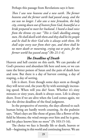Perhaps this passage from Revelations says it best:

*Then I saw new heavens and a new earth. The former heavens and the former earth had passed away, and the sea was no longer. I also saw a new Jerusalem, the holy city, coming down out of heaven from God, beautiful as a bride prepared to meet her husband. I heard a loud voice from the throne cry out: "This is God's dwelling among men. He shall dwell with them and they shall be his people and he shall be their God who is always with them. He shall wipe every tear from their eyes, and there shall be no more death or mourning, crying out or pain, for the former world has passed away" (Rv 21:1-4).*

#### *The Deadline of Death*

Heaven and hell coexist on this earth. We can partake of God's presence and abundant life here and now, or we can taste the bitter poison of Satan and the pain of death here and now. But there is a day of harvest coming, a day of reaping, a day of sorting.

Life is short. Even though some days seem as though they will never end, the years fly by with seemingly increasing speed. When will you die? Soon. Whether it's sixty minutes or sixty years, death is always soon. Life is always short. Even if we are alive when the Lord comes again, we face the divine deadline of the final judgment.

In the perspective of eternity, the days allotted to each human being are hardly worth counting. As the psalmist says, "Man's days are like those of grass; like a flower of the field he blooms; the wind sweeps over him and he is gone, and his place knows him no more" (Ps 103:15-16).

The choice we face is literally life or death, heaven or hell—beginning in this world and continuing forever. We are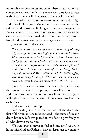responsible for our choices and actions here on earth. Eternal consequences await each of us when we come face-to-face with God. There really is a heaven. There really is a hell.

The choices we make now—to come under the reign and rule of Christ, or to sin and rebel and come under the rule of the devil—have lifelong and eternal consequences. We can choose to die now to our own sinful desires, or we can die later in the eternal lake of fire. Eternal separation from God begins now by the wrong choices we make.

Jesus said to his disciples:

*If a man wishes to come after me, he must deny his very self, take up his cross, and begin to follow in my footsteps. Whoever would save his life will lose it, but whoever loses his life for my sake will find it. What profit would a man show if he were to gain the whole world and destroy himself in the process? What can a man offer in exchange for his very self? The Son of Man will come with his Father's glory accompanied by his angels. When he does, he will repay each man according to his conduct (Mt 16:24-27).*

Jesus Christ came the first time as a lamb to take away the sins of the world. He plunged himself into our pain and misery and took it all upon himself on the cross. Jesus willingly chose to die because of his enormous love for each of us.

And God raised him up.

God made Jesus to be the firstborn of the dead, the first of the human race to be restored—the curse of sin and death broken. Life was placed in the Son to give freely to all who draw close to him.

We were created never to feel at home until we are at home with God our Father in heaven. Jesus says to you now,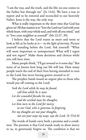"I am the way, and the truth, and the life; no one comes to the Father but through me" (Jn 14:6). We have a way to repent and to be restored and reconciled to our heavenly Father. Jesus is the way, the only way.

What is really important in the short time that God has given us? All that matters is to "love the Lord our God with your whole heart, with your whole soul, and with all you mind," and to "love your neighbor as yourself" (Mt 22:37, 39).

I believe that the Lord wants us more and more to look at life as he looks at it— *in the light of eternity*. Picture yourself standing before the Lord. Ask yourself: "What will seem important or unimportant? What will I regret and not regret?" Make those decisions and choices while you still have time.

Many people think, "I'll get around to it some day." But none of us knows how long our life will last. How many people reach the end of their lives having intended to turn to the Lord, but never having gotten around to it!

The prophet Isaiah issued an urgent plea to those who would put off coming to the Lord:

*Seek the Lord while he may be found, call him while he is near. Let the scoundrel forsake his way, and the wicked man his thoughts; Let him turn to the Lord for mercy; to our God, who is generous in forgiving For my thoughts are not your thoughts, nor are your ways my ways, says the Lord. (Is 55:6-8)*

The words of Isaiah carry both a promise and a condition. The promise is that God stands ready to show mercy to us, to generously forgive us. The condition is that we